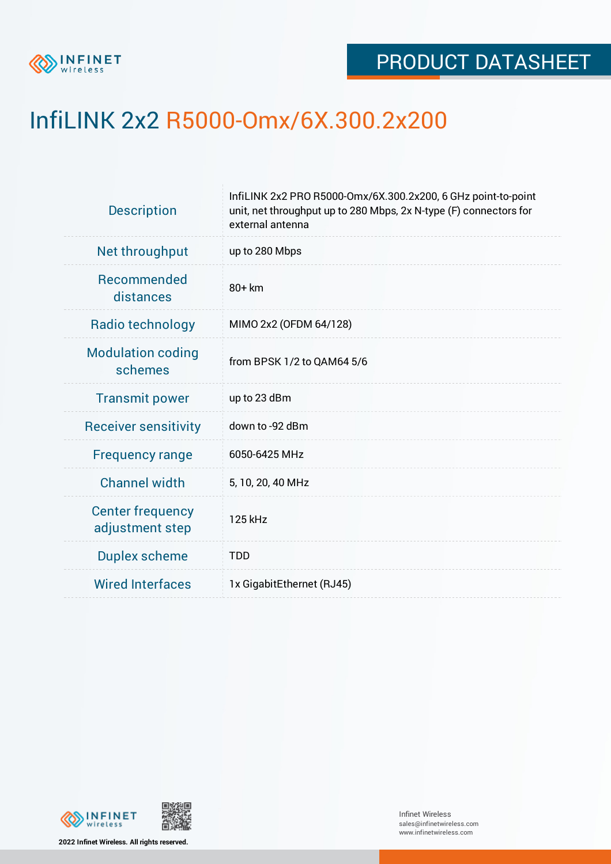

## InfiLINK 2x2 R5000-Omx/6X.300.2x200

| InfiLINK 2x2 PRO R5000-Omx/6X.300.2x200, 6 GHz point-to-point<br>unit, net throughput up to 280 Mbps, 2x N-type (F) connectors for<br>external antenna |  |  |  |
|--------------------------------------------------------------------------------------------------------------------------------------------------------|--|--|--|
| up to 280 Mbps                                                                                                                                         |  |  |  |
| 80+ km                                                                                                                                                 |  |  |  |
| MIMO 2x2 (OFDM 64/128)                                                                                                                                 |  |  |  |
| from BPSK 1/2 to QAM64 5/6                                                                                                                             |  |  |  |
| up to 23 dBm                                                                                                                                           |  |  |  |
| down to -92 dBm                                                                                                                                        |  |  |  |
| 6050-6425 MHz                                                                                                                                          |  |  |  |
| 5, 10, 20, 40 MHz                                                                                                                                      |  |  |  |
| 125 kHz                                                                                                                                                |  |  |  |
| <b>TDD</b>                                                                                                                                             |  |  |  |
| 1x GigabitEthernet (RJ45)                                                                                                                              |  |  |  |
|                                                                                                                                                        |  |  |  |



**2022 Infinet Wireless. All rights reserved.**

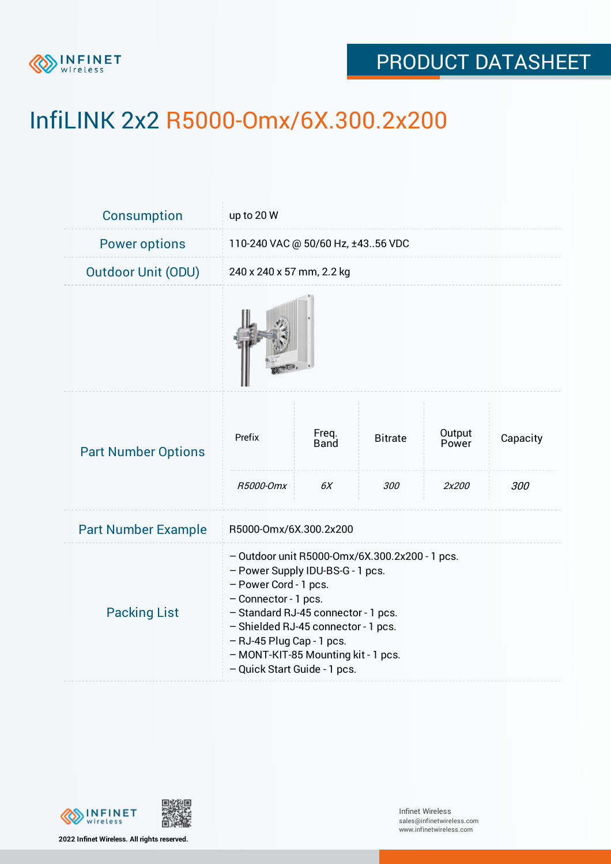

# InfiLINK 2x2 R5000-Omx/6X.300.2x200

| Consumption                | up to 20 W                                                                                                                                                                                                                                                                                                            |                      |                |                 |          |
|----------------------------|-----------------------------------------------------------------------------------------------------------------------------------------------------------------------------------------------------------------------------------------------------------------------------------------------------------------------|----------------------|----------------|-----------------|----------|
| <b>Power options</b>       | 110-240 VAC @ 50/60 Hz, ±4356 VDC                                                                                                                                                                                                                                                                                     |                      |                |                 |          |
| <b>Outdoor Unit (ODU)</b>  | 240 x 240 x 57 mm, 2.2 kg                                                                                                                                                                                                                                                                                             |                      |                |                 |          |
|                            |                                                                                                                                                                                                                                                                                                                       |                      |                |                 |          |
| <b>Part Number Options</b> | Prefix                                                                                                                                                                                                                                                                                                                | Freq.<br><b>Band</b> | <b>Bitrate</b> | Output<br>Power | Capacity |
|                            | R5000-Omx                                                                                                                                                                                                                                                                                                             | 6X                   | 300            | 2x200           | 300      |
| <b>Part Number Example</b> | R5000-Omx/6X.300.2x200                                                                                                                                                                                                                                                                                                |                      |                |                 |          |
| <b>Packing List</b>        | - Outdoor unit R5000-Omx/6X.300.2x200 - 1 pcs.<br>- Power Supply IDU-BS-G - 1 pcs.<br>- Power Cord - 1 pcs.<br>- Connector - 1 pcs.<br>- Standard RJ-45 connector - 1 pcs.<br>- Shielded RJ-45 connector - 1 pcs.<br>- RJ-45 Plug Cap - 1 pcs.<br>- MONT-KIT-85 Mounting kit - 1 pcs.<br>- Quick Start Guide - 1 pcs. |                      |                |                 |          |



**2022 Infinet Wireless. All rights reserved.**

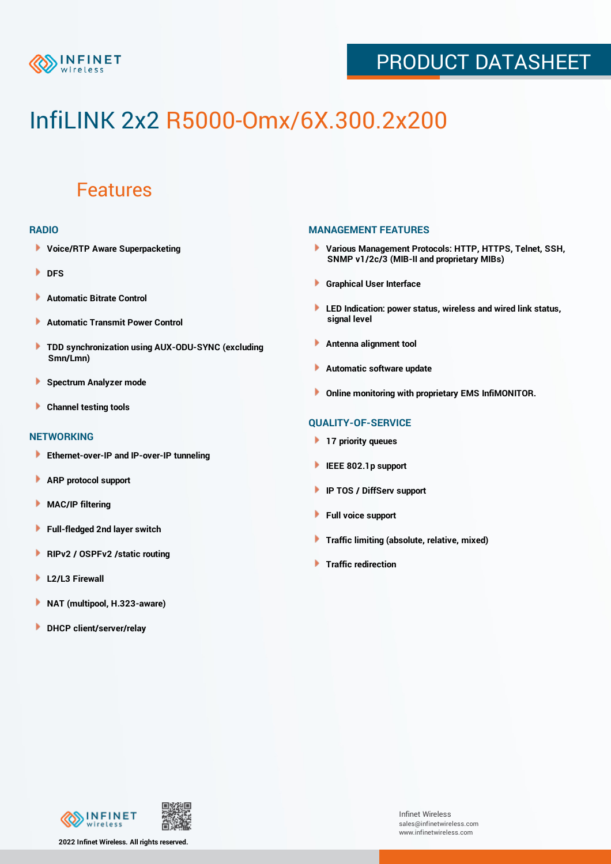

# InfiLINK 2x2 R5000-Omx/6X.300.2x200

### Features

#### **RADIO**

- **Voice/RTP Aware Superpacketing**
- **DFS**
- **Automatic Bitrate Control** Þ
- Þ **Automatic Transmit Power Control**
- ь **TDD synchronization using AUX-ODU-SYNC (excluding Smn/Lmn)**
- **Spectrum Analyzer mode** ۰
- **Channel testing tools** ١

#### **NETWORKING**

- **Ethernet-over-IP and IP-over-IP tunneling**
- Þ **ARP protocol support**
- ۱ **MAC/IP filtering**
- Þ **Full-fledged 2nd layer switch**
- Þ **RIPv2 / OSPFv2 /static routing**
- **L2/L3 Firewall** Þ
- **NAT (multipool, H.323-aware)** Þ
- Þ **DHCP client/server/relay**

#### **MANAGEMENT FEATURES**

- **Various Management Protocols: HTTP, HTTPS, Telnet, SSH, SNMP v1/2c/3 (MIB-II and proprietary MIBs)**
- **Graphical User Interface**
- **LED Indication: power status, wireless and wired link status, signal level**
- **Antenna alignment tool**
- ٠ **Automatic software update**
- **Online monitoring with proprietary EMS InfiMONITOR.**

#### **QUALITY-OF-SERVICE**

- **17 priority queues**
- **IEEE 802.1p support**
- **IP TOS / DiffServ support**
- ٠ **Full voice support**
- **Traffic limiting (absolute, relative, mixed)** ٠
- **Traffic redirection**